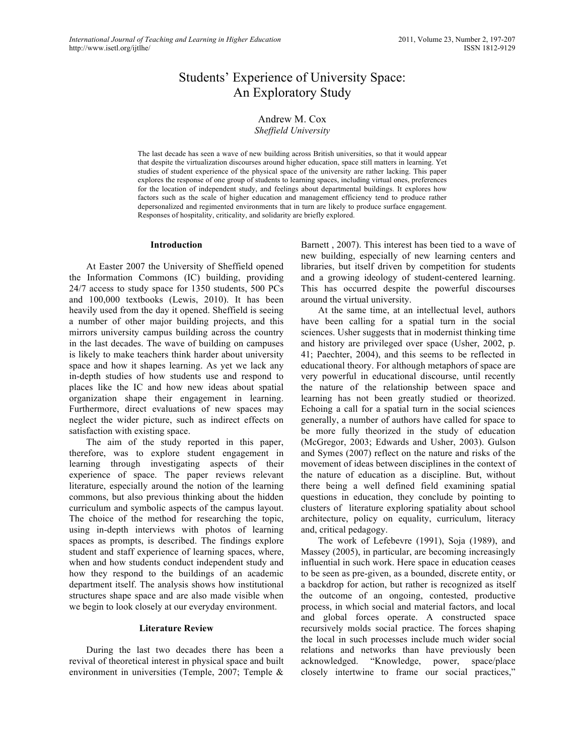# Students' Experience of University Space: An Exploratory Study

## Andrew M. Cox *Sheffield University*

The last decade has seen a wave of new building across British universities, so that it would appear that despite the virtualization discourses around higher education, space still matters in learning. Yet studies of student experience of the physical space of the university are rather lacking. This paper explores the response of one group of students to learning spaces, including virtual ones, preferences for the location of independent study, and feelings about departmental buildings. It explores how factors such as the scale of higher education and management efficiency tend to produce rather depersonalized and regimented environments that in turn are likely to produce surface engagement. Responses of hospitality, criticality, and solidarity are briefly explored.

## **Introduction**

At Easter 2007 the University of Sheffield opened the Information Commons (IC) building, providing 24/7 access to study space for 1350 students, 500 PCs and 100,000 textbooks (Lewis, 2010). It has been heavily used from the day it opened. Sheffield is seeing a number of other major building projects, and this mirrors university campus building across the country in the last decades. The wave of building on campuses is likely to make teachers think harder about university space and how it shapes learning. As yet we lack any in-depth studies of how students use and respond to places like the IC and how new ideas about spatial organization shape their engagement in learning. Furthermore, direct evaluations of new spaces may neglect the wider picture, such as indirect effects on satisfaction with existing space.

The aim of the study reported in this paper, therefore, was to explore student engagement in learning through investigating aspects of their experience of space. The paper reviews relevant literature, especially around the notion of the learning commons, but also previous thinking about the hidden curriculum and symbolic aspects of the campus layout. The choice of the method for researching the topic, using in-depth interviews with photos of learning spaces as prompts, is described. The findings explore student and staff experience of learning spaces, where, when and how students conduct independent study and how they respond to the buildings of an academic department itself. The analysis shows how institutional structures shape space and are also made visible when we begin to look closely at our everyday environment.

## **Literature Review**

During the last two decades there has been a revival of theoretical interest in physical space and built environment in universities (Temple, 2007; Temple &

Barnett , 2007). This interest has been tied to a wave of new building, especially of new learning centers and libraries, but itself driven by competition for students and a growing ideology of student-centered learning. This has occurred despite the powerful discourses around the virtual university.

At the same time, at an intellectual level, authors have been calling for a spatial turn in the social sciences. Usher suggests that in modernist thinking time and history are privileged over space (Usher, 2002, p. 41; Paechter, 2004), and this seems to be reflected in educational theory. For although metaphors of space are very powerful in educational discourse, until recently the nature of the relationship between space and learning has not been greatly studied or theorized. Echoing a call for a spatial turn in the social sciences generally, a number of authors have called for space to be more fully theorized in the study of education (McGregor, 2003; Edwards and Usher, 2003). Gulson and Symes (2007) reflect on the nature and risks of the movement of ideas between disciplines in the context of the nature of education as a discipline. But, without there being a well defined field examining spatial questions in education, they conclude by pointing to clusters of literature exploring spatiality about school architecture, policy on equality, curriculum, literacy and, critical pedagogy.

The work of Lefebevre (1991), Soja (1989), and Massey (2005), in particular, are becoming increasingly influential in such work. Here space in education ceases to be seen as pre-given, as a bounded, discrete entity, or a backdrop for action, but rather is recognized as itself the outcome of an ongoing, contested, productive process, in which social and material factors, and local and global forces operate. A constructed space recursively molds social practice. The forces shaping the local in such processes include much wider social relations and networks than have previously been acknowledged. "Knowledge, power, space/place closely intertwine to frame our social practices,"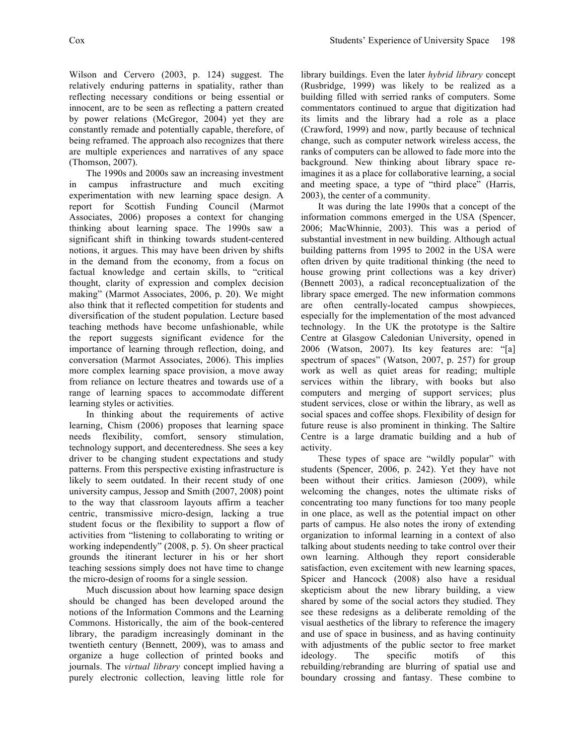Wilson and Cervero (2003, p. 124) suggest. The relatively enduring patterns in spatiality, rather than reflecting necessary conditions or being essential or innocent, are to be seen as reflecting a pattern created by power relations (McGregor, 2004) yet they are constantly remade and potentially capable, therefore, of being reframed. The approach also recognizes that there are multiple experiences and narratives of any space (Thomson, 2007).

The 1990s and 2000s saw an increasing investment in campus infrastructure and much exciting experimentation with new learning space design. A report for Scottish Funding Council (Marmot Associates, 2006) proposes a context for changing thinking about learning space. The 1990s saw a significant shift in thinking towards student-centered notions, it argues. This may have been driven by shifts in the demand from the economy, from a focus on factual knowledge and certain skills, to "critical thought, clarity of expression and complex decision making" (Marmot Associates, 2006, p. 20). We might also think that it reflected competition for students and diversification of the student population. Lecture based teaching methods have become unfashionable, while the report suggests significant evidence for the importance of learning through reflection, doing, and conversation (Marmot Associates, 2006). This implies more complex learning space provision, a move away from reliance on lecture theatres and towards use of a range of learning spaces to accommodate different learning styles or activities.

In thinking about the requirements of active learning, Chism (2006) proposes that learning space needs flexibility, comfort, sensory stimulation, technology support, and decenteredness. She sees a key driver to be changing student expectations and study patterns. From this perspective existing infrastructure is likely to seem outdated. In their recent study of one university campus, Jessop and Smith (2007, 2008) point to the way that classroom layouts affirm a teacher centric, transmissive micro-design, lacking a true student focus or the flexibility to support a flow of activities from "listening to collaborating to writing or working independently" (2008, p. 5). On sheer practical grounds the itinerant lecturer in his or her short teaching sessions simply does not have time to change the micro-design of rooms for a single session.

Much discussion about how learning space design should be changed has been developed around the notions of the Information Commons and the Learning Commons. Historically, the aim of the book-centered library, the paradigm increasingly dominant in the twentieth century (Bennett, 2009), was to amass and organize a huge collection of printed books and journals. The *virtual library* concept implied having a purely electronic collection, leaving little role for

library buildings. Even the later *hybrid library* concept (Rusbridge, 1999) was likely to be realized as a building filled with serried ranks of computers. Some commentators continued to argue that digitization had its limits and the library had a role as a place (Crawford, 1999) and now, partly because of technical change, such as computer network wireless access, the ranks of computers can be allowed to fade more into the background. New thinking about library space reimagines it as a place for collaborative learning, a social and meeting space, a type of "third place" (Harris, 2003), the center of a community.

It was during the late 1990s that a concept of the information commons emerged in the USA (Spencer, 2006; MacWhinnie, 2003). This was a period of substantial investment in new building. Although actual building patterns from 1995 to 2002 in the USA were often driven by quite traditional thinking (the need to house growing print collections was a key driver) (Bennett 2003), a radical reconceptualization of the library space emerged. The new information commons are often centrally-located campus showpieces, especially for the implementation of the most advanced technology. In the UK the prototype is the Saltire Centre at Glasgow Caledonian University, opened in 2006 (Watson, 2007). Its key features are: "[a] spectrum of spaces" (Watson, 2007, p. 257) for group work as well as quiet areas for reading; multiple services within the library, with books but also computers and merging of support services; plus student services, close or within the library, as well as social spaces and coffee shops. Flexibility of design for future reuse is also prominent in thinking. The Saltire Centre is a large dramatic building and a hub of activity.

These types of space are "wildly popular" with students (Spencer, 2006, p. 242). Yet they have not been without their critics. Jamieson (2009), while welcoming the changes, notes the ultimate risks of concentrating too many functions for too many people in one place, as well as the potential impact on other parts of campus. He also notes the irony of extending organization to informal learning in a context of also talking about students needing to take control over their own learning. Although they report considerable satisfaction, even excitement with new learning spaces, Spicer and Hancock (2008) also have a residual skepticism about the new library building, a view shared by some of the social actors they studied. They see these redesigns as a deliberate remolding of the visual aesthetics of the library to reference the imagery and use of space in business, and as having continuity with adjustments of the public sector to free market ideology. The specific motifs of this rebuilding/rebranding are blurring of spatial use and boundary crossing and fantasy. These combine to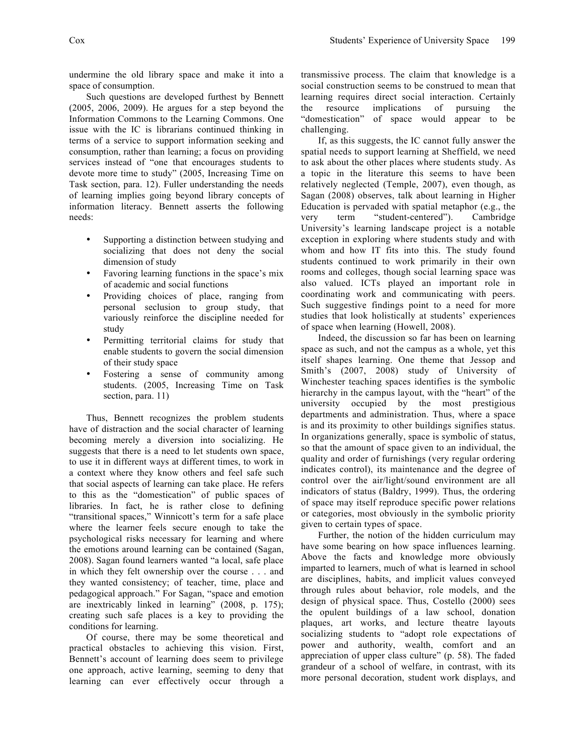undermine the old library space and make it into a space of consumption.

Such questions are developed furthest by Bennett (2005, 2006, 2009). He argues for a step beyond the Information Commons to the Learning Commons. One issue with the IC is librarians continued thinking in terms of a service to support information seeking and consumption, rather than learning; a focus on providing services instead of "one that encourages students to devote more time to study" (2005, Increasing Time on Task section, para. 12). Fuller understanding the needs of learning implies going beyond library concepts of information literacy. Bennett asserts the following needs:

- Supporting a distinction between studying and socializing that does not deny the social dimension of study
- Favoring learning functions in the space's mix of academic and social functions
- Providing choices of place, ranging from personal seclusion to group study, that variously reinforce the discipline needed for study
- Permitting territorial claims for study that enable students to govern the social dimension of their study space
- Fostering a sense of community among students. (2005, Increasing Time on Task section, para. 11)

Thus, Bennett recognizes the problem students have of distraction and the social character of learning becoming merely a diversion into socializing. He suggests that there is a need to let students own space, to use it in different ways at different times, to work in a context where they know others and feel safe such that social aspects of learning can take place. He refers to this as the "domestication" of public spaces of libraries. In fact, he is rather close to defining "transitional spaces," Winnicott's term for a safe place where the learner feels secure enough to take the psychological risks necessary for learning and where the emotions around learning can be contained (Sagan, 2008). Sagan found learners wanted "a local, safe place in which they felt ownership over the course . . . and they wanted consistency; of teacher, time, place and pedagogical approach." For Sagan, "space and emotion are inextricably linked in learning" (2008, p. 175); creating such safe places is a key to providing the conditions for learning.

Of course, there may be some theoretical and practical obstacles to achieving this vision. First, Bennett's account of learning does seem to privilege one approach, active learning, seeming to deny that learning can ever effectively occur through a transmissive process. The claim that knowledge is a social construction seems to be construed to mean that learning requires direct social interaction. Certainly the resource implications of pursuing the "domestication" of space would appear to be challenging.

If, as this suggests, the IC cannot fully answer the spatial needs to support learning at Sheffield, we need to ask about the other places where students study. As a topic in the literature this seems to have been relatively neglected (Temple, 2007), even though, as Sagan (2008) observes, talk about learning in Higher Education is pervaded with spatial metaphor (e.g., the very term "student-centered"). Cambridge University's learning landscape project is a notable exception in exploring where students study and with whom and how IT fits into this. The study found students continued to work primarily in their own rooms and colleges, though social learning space was also valued. ICTs played an important role in coordinating work and communicating with peers. Such suggestive findings point to a need for more studies that look holistically at students' experiences of space when learning (Howell, 2008).

Indeed, the discussion so far has been on learning space as such, and not the campus as a whole, yet this itself shapes learning. One theme that Jessop and Smith's (2007, 2008) study of University of Winchester teaching spaces identifies is the symbolic hierarchy in the campus layout, with the "heart" of the university occupied by the most prestigious departments and administration. Thus, where a space is and its proximity to other buildings signifies status. In organizations generally, space is symbolic of status, so that the amount of space given to an individual, the quality and order of furnishings (very regular ordering indicates control), its maintenance and the degree of control over the air/light/sound environment are all indicators of status (Baldry, 1999). Thus, the ordering of space may itself reproduce specific power relations or categories, most obviously in the symbolic priority given to certain types of space.

Further, the notion of the hidden curriculum may have some bearing on how space influences learning. Above the facts and knowledge more obviously imparted to learners, much of what is learned in school are disciplines, habits, and implicit values conveyed through rules about behavior, role models, and the design of physical space. Thus, Costello (2000) sees the opulent buildings of a law school, donation plaques, art works, and lecture theatre layouts socializing students to "adopt role expectations of power and authority, wealth, comfort and an appreciation of upper class culture" (p. 58). The faded grandeur of a school of welfare, in contrast, with its more personal decoration, student work displays, and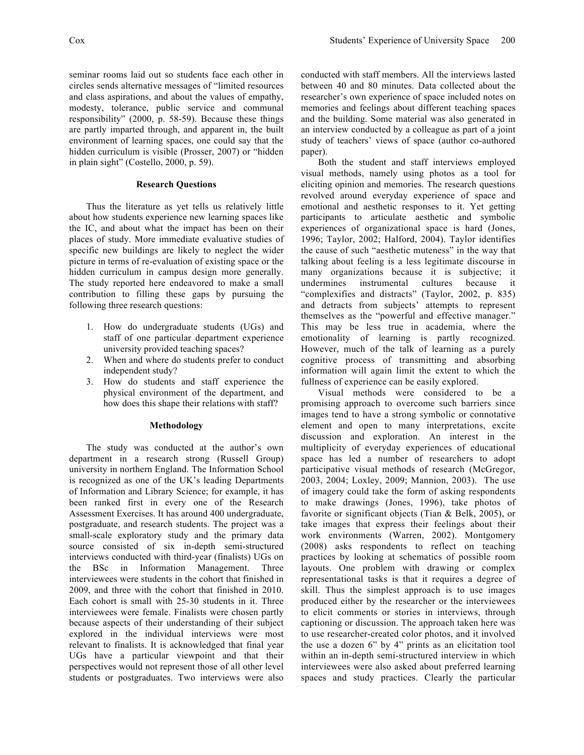seminar rooms laid out so students face each other in circles sends alternative messages of "limited resources and class aspirations, and about the values of empathy, modesty, tolerance, public service and communal responsibility" (2000, p. 58-59). Because these things are partly imparted through, and apparent in, the built environment of learning spaces, one could say that the hidden curriculum is visible (Prosser, 2007) or "hidden in plain sight" (Costello, 2000, p. 59).

## **Research Questions**

Thus the literature as yet tells us relatively little about how students experience new learning spaces like the IC, and about what the impact has been on their places of study. More immediate evaluative studies of specific new buildings are likely to neglect the wider picture in terms of re-evaluation of existing space or the hidden curriculum in campus design more generally. The study reported here endeavored to make a small contribution to filling these gaps by pursuing the following three research questions:

- 1. How do undergraduate students (UGs) and staff of one particular department experience university provided teaching spaces?
- 2. When and where do students prefer to conduct independent study?
- 3. How do students and staff experience the physical environment of the department, and how does this shape their relations with staff?

#### **Methodology**

The study was conducted at the author's own department in a research strong (Russell Group) university in northern England. The Information School is recognized as one of the UK's leading Departments of Information and Library Science; for example, it has been ranked first in every one of the Research Assessment Exercises. It has around 400 undergraduate, postgraduate, and research students. The project was a small-scale exploratory study and the primary data source consisted of six in-depth semi-structured interviews conducted with third-year (finalists) UGs on the BSc in Information Management. Three interviewees were students in the cohort that finished in 2009, and three with the cohort that finished in 2010. Each cohort is small with 25-30 students in it. Three interviewees were female. Finalists were chosen partly because aspects of their understanding of their subject explored in the individual interviews were most relevant to finalists. It is acknowledged that final year UGs have a particular viewpoint and that their perspectives would not represent those of all other level students or postgraduates. Two interviews were also

conducted with staff members. All the interviews lasted between 40 and 80 minutes. Data collected about the researcher's own experience of space included notes on memories and feelings about different teaching spaces and the building. Some material was also generated in an interview conducted by a colleague as part of a joint study of teachers' views of space (author co-authored paper).

Both the student and staff interviews employed visual methods, namely using photos as a tool for eliciting opinion and memories. The research questions revolved around everyday experience of space and emotional and aesthetic responses to it. Yet getting participants to articulate aesthetic and symbolic experiences of organizational space is hard (Jones, 1996; Taylor, 2002; Halford, 2004). Taylor identifies the cause of such "aesthetic muteness" in the way that talking about feeling is a less legitimate discourse in many organizations because it is subjective; it undermines instrumental cultures because it "complexifies and distracts" (Taylor, 2002, p. 835) and detracts from subjects' attempts to represent themselves as the "powerful and effective manager." This may be less true in academia, where the emotionality of learning is partly recognized. However, much of the talk of learning as a purely cognitive process of transmitting and absorbing information will again limit the extent to which the fullness of experience can be easily explored.

Visual methods were considered to be a promising approach to overcome such barriers since images tend to have a strong symbolic or connotative element and open to many interpretations, excite discussion and exploration. An interest in the multiplicity of everyday experiences of educational space has led a number of researchers to adopt participative visual methods of research (McGregor, 2003, 2004; Loxley, 2009; Mannion, 2003). The use of imagery could take the form of asking respondents to make drawings (Jones, 1996), take photos of favorite or significant objects (Tian & Belk, 2005), or take images that express their feelings about their work environments (Warren, 2002). Montgomery (2008) asks respondents to reflect on teaching practices by looking at schematics of possible room layouts. One problem with drawing or complex representational tasks is that it requires a degree of skill. Thus the simplest approach is to use images produced either by the researcher or the interviewees to elicit comments or stories in interviews, through captioning or discussion. The approach taken here was to use researcher-created color photos, and it involved the use a dozen 6" by 4" prints as an elicitation tool within an in-depth semi-structured interview in which interviewees were also asked about preferred learning spaces and study practices. Clearly the particular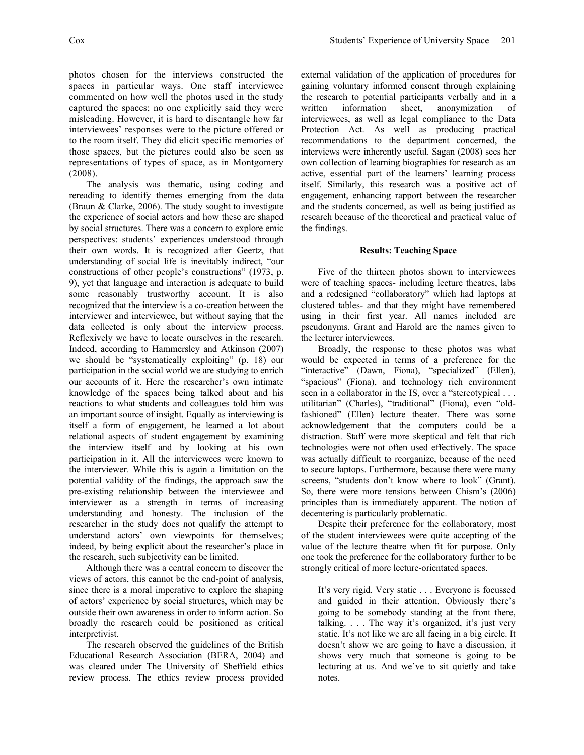photos chosen for the interviews constructed the spaces in particular ways. One staff interviewee commented on how well the photos used in the study captured the spaces; no one explicitly said they were misleading. However, it is hard to disentangle how far interviewees' responses were to the picture offered or to the room itself. They did elicit specific memories of those spaces, but the pictures could also be seen as representations of types of space, as in Montgomery (2008).

The analysis was thematic, using coding and rereading to identify themes emerging from the data (Braun & Clarke, 2006). The study sought to investigate the experience of social actors and how these are shaped by social structures. There was a concern to explore emic perspectives: students' experiences understood through their own words. It is recognized after Geertz, that understanding of social life is inevitably indirect, "our constructions of other people's constructions" (1973, p. 9), yet that language and interaction is adequate to build some reasonably trustworthy account. It is also recognized that the interview is a co-creation between the interviewer and interviewee, but without saying that the data collected is only about the interview process. Reflexively we have to locate ourselves in the research. Indeed, according to Hammersley and Atkinson (2007) we should be "systematically exploiting" (p. 18) our participation in the social world we are studying to enrich our accounts of it. Here the researcher's own intimate knowledge of the spaces being talked about and his reactions to what students and colleagues told him was an important source of insight. Equally as interviewing is itself a form of engagement, he learned a lot about relational aspects of student engagement by examining the interview itself and by looking at his own participation in it. All the interviewees were known to the interviewer. While this is again a limitation on the potential validity of the findings, the approach saw the pre-existing relationship between the interviewee and interviewer as a strength in terms of increasing understanding and honesty. The inclusion of the researcher in the study does not qualify the attempt to understand actors' own viewpoints for themselves; indeed, by being explicit about the researcher's place in the research, such subjectivity can be limited.

Although there was a central concern to discover the views of actors, this cannot be the end-point of analysis, since there is a moral imperative to explore the shaping of actors' experience by social structures, which may be outside their own awareness in order to inform action. So broadly the research could be positioned as critical interpretivist.

The research observed the guidelines of the British Educational Research Association (BERA, 2004) and was cleared under The University of Sheffield ethics review process. The ethics review process provided external validation of the application of procedures for gaining voluntary informed consent through explaining the research to potential participants verbally and in a written information sheet, anonymization of interviewees, as well as legal compliance to the Data Protection Act. As well as producing practical recommendations to the department concerned, the interviews were inherently useful. Sagan (2008) sees her own collection of learning biographies for research as an active, essential part of the learners' learning process itself. Similarly, this research was a positive act of engagement, enhancing rapport between the researcher and the students concerned, as well as being justified as research because of the theoretical and practical value of the findings.

#### **Results: Teaching Space**

Five of the thirteen photos shown to interviewees were of teaching spaces- including lecture theatres, labs and a redesigned "collaboratory" which had laptops at clustered tables- and that they might have remembered using in their first year. All names included are pseudonyms. Grant and Harold are the names given to the lecturer interviewees.

Broadly, the response to these photos was what would be expected in terms of a preference for the "interactive" (Dawn, Fiona), "specialized" (Ellen), "spacious" (Fiona), and technology rich environment seen in a collaborator in the IS, over a "stereotypical . . . utilitarian" (Charles), "traditional" (Fiona), even "oldfashioned" (Ellen) lecture theater. There was some acknowledgement that the computers could be a distraction. Staff were more skeptical and felt that rich technologies were not often used effectively. The space was actually difficult to reorganize, because of the need to secure laptops. Furthermore, because there were many screens, "students don't know where to look" (Grant). So, there were more tensions between Chism's (2006) principles than is immediately apparent. The notion of decentering is particularly problematic.

Despite their preference for the collaboratory, most of the student interviewees were quite accepting of the value of the lecture theatre when fit for purpose. Only one took the preference for the collaboratory further to be strongly critical of more lecture-orientated spaces.

It's very rigid. Very static . . . Everyone is focussed and guided in their attention. Obviously there's going to be somebody standing at the front there, talking. . . . The way it's organized, it's just very static. It's not like we are all facing in a big circle. It doesn't show we are going to have a discussion, it shows very much that someone is going to be lecturing at us. And we've to sit quietly and take notes.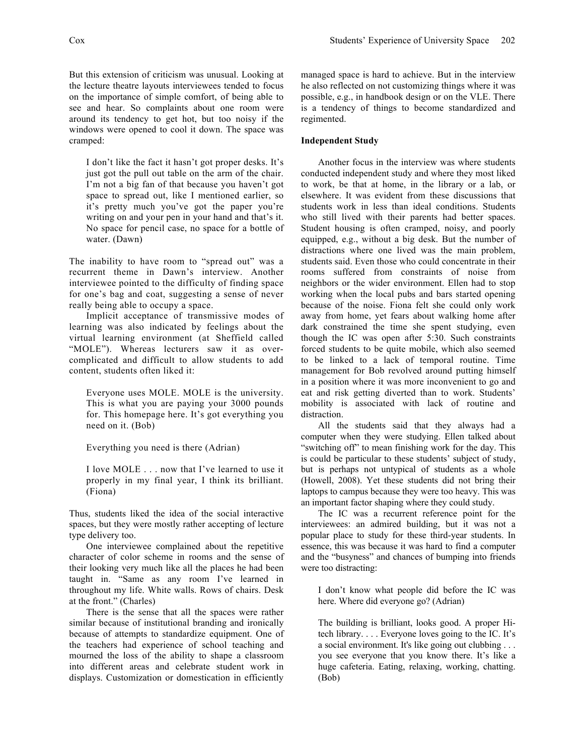But this extension of criticism was unusual. Looking at the lecture theatre layouts interviewees tended to focus on the importance of simple comfort, of being able to see and hear. So complaints about one room were around its tendency to get hot, but too noisy if the windows were opened to cool it down. The space was cramped:

I don't like the fact it hasn't got proper desks. It's just got the pull out table on the arm of the chair. I'm not a big fan of that because you haven't got space to spread out, like I mentioned earlier, so it's pretty much you've got the paper you're writing on and your pen in your hand and that's it. No space for pencil case, no space for a bottle of water. (Dawn)

The inability to have room to "spread out" was a recurrent theme in Dawn's interview. Another interviewee pointed to the difficulty of finding space for one's bag and coat, suggesting a sense of never really being able to occupy a space.

Implicit acceptance of transmissive modes of learning was also indicated by feelings about the virtual learning environment (at Sheffield called "MOLE"). Whereas lecturers saw it as overcomplicated and difficult to allow students to add content, students often liked it:

Everyone uses MOLE. MOLE is the university. This is what you are paying your 3000 pounds for. This homepage here. It's got everything you need on it. (Bob)

Everything you need is there (Adrian)

I love MOLE . . . now that I've learned to use it properly in my final year, I think its brilliant. (Fiona)

Thus, students liked the idea of the social interactive spaces, but they were mostly rather accepting of lecture type delivery too.

One interviewee complained about the repetitive character of color scheme in rooms and the sense of their looking very much like all the places he had been taught in. "Same as any room I've learned in throughout my life. White walls. Rows of chairs. Desk at the front." (Charles)

There is the sense that all the spaces were rather similar because of institutional branding and ironically because of attempts to standardize equipment. One of the teachers had experience of school teaching and mourned the loss of the ability to shape a classroom into different areas and celebrate student work in displays. Customization or domestication in efficiently managed space is hard to achieve. But in the interview he also reflected on not customizing things where it was possible, e.g., in handbook design or on the VLE. There is a tendency of things to become standardized and regimented.

## **Independent Study**

Another focus in the interview was where students conducted independent study and where they most liked to work, be that at home, in the library or a lab, or elsewhere. It was evident from these discussions that students work in less than ideal conditions. Students who still lived with their parents had better spaces. Student housing is often cramped, noisy, and poorly equipped, e.g., without a big desk. But the number of distractions where one lived was the main problem, students said. Even those who could concentrate in their rooms suffered from constraints of noise from neighbors or the wider environment. Ellen had to stop working when the local pubs and bars started opening because of the noise. Fiona felt she could only work away from home, yet fears about walking home after dark constrained the time she spent studying, even though the IC was open after 5:30. Such constraints forced students to be quite mobile, which also seemed to be linked to a lack of temporal routine. Time management for Bob revolved around putting himself in a position where it was more inconvenient to go and eat and risk getting diverted than to work. Students' mobility is associated with lack of routine and distraction.

All the students said that they always had a computer when they were studying. Ellen talked about "switching off" to mean finishing work for the day. This is could be particular to these students' subject of study, but is perhaps not untypical of students as a whole (Howell, 2008). Yet these students did not bring their laptops to campus because they were too heavy. This was an important factor shaping where they could study.

The IC was a recurrent reference point for the interviewees: an admired building, but it was not a popular place to study for these third-year students. In essence, this was because it was hard to find a computer and the "busyness" and chances of bumping into friends were too distracting:

I don't know what people did before the IC was here. Where did everyone go? (Adrian)

The building is brilliant, looks good. A proper Hitech library. . . . Everyone loves going to the IC. It's a social environment. It's like going out clubbing . . . you see everyone that you know there. It's like a huge cafeteria. Eating, relaxing, working, chatting. (Bob)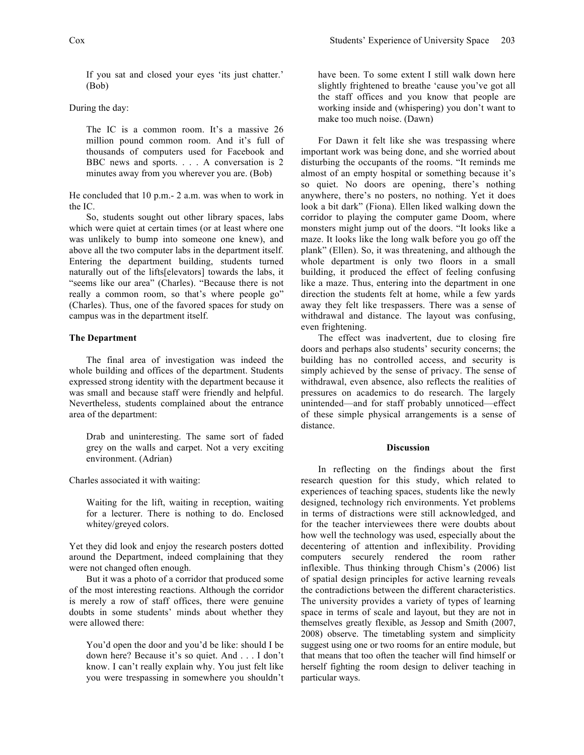If you sat and closed your eyes 'its just chatter.' (Bob)

During the day:

The IC is a common room. It's a massive 26 million pound common room. And it's full of thousands of computers used for Facebook and BBC news and sports. . . . A conversation is 2 minutes away from you wherever you are. (Bob)

He concluded that 10 p.m.- 2 a.m. was when to work in the IC.

So, students sought out other library spaces, labs which were quiet at certain times (or at least where one was unlikely to bump into someone one knew), and above all the two computer labs in the department itself. Entering the department building, students turned naturally out of the lifts[elevators] towards the labs, it "seems like our area" (Charles). "Because there is not really a common room, so that's where people go" (Charles). Thus, one of the favored spaces for study on campus was in the department itself.

## **The Department**

The final area of investigation was indeed the whole building and offices of the department. Students expressed strong identity with the department because it was small and because staff were friendly and helpful. Nevertheless, students complained about the entrance area of the department:

Drab and uninteresting. The same sort of faded grey on the walls and carpet. Not a very exciting environment. (Adrian)

Charles associated it with waiting:

Waiting for the lift, waiting in reception, waiting for a lecturer. There is nothing to do. Enclosed whitey/greyed colors.

Yet they did look and enjoy the research posters dotted around the Department, indeed complaining that they were not changed often enough.

But it was a photo of a corridor that produced some of the most interesting reactions. Although the corridor is merely a row of staff offices, there were genuine doubts in some students' minds about whether they were allowed there:

You'd open the door and you'd be like: should I be down here? Because it's so quiet. And . . . I don't know. I can't really explain why. You just felt like you were trespassing in somewhere you shouldn't

have been. To some extent I still walk down here slightly frightened to breathe 'cause you've got all the staff offices and you know that people are working inside and (whispering) you don't want to make too much noise. (Dawn)

For Dawn it felt like she was trespassing where important work was being done, and she worried about disturbing the occupants of the rooms. "It reminds me almost of an empty hospital or something because it's so quiet. No doors are opening, there's nothing anywhere, there's no posters, no nothing. Yet it does look a bit dark" (Fiona). Ellen liked walking down the corridor to playing the computer game Doom, where monsters might jump out of the doors. "It looks like a maze. It looks like the long walk before you go off the plank" (Ellen). So, it was threatening, and although the whole department is only two floors in a small building, it produced the effect of feeling confusing like a maze. Thus, entering into the department in one direction the students felt at home, while a few yards away they felt like trespassers. There was a sense of withdrawal and distance. The layout was confusing, even frightening.

The effect was inadvertent, due to closing fire doors and perhaps also students' security concerns; the building has no controlled access, and security is simply achieved by the sense of privacy. The sense of withdrawal, even absence, also reflects the realities of pressures on academics to do research. The largely unintended—and for staff probably unnoticed—effect of these simple physical arrangements is a sense of distance.

#### **Discussion**

In reflecting on the findings about the first research question for this study, which related to experiences of teaching spaces, students like the newly designed, technology rich environments. Yet problems in terms of distractions were still acknowledged, and for the teacher interviewees there were doubts about how well the technology was used, especially about the decentering of attention and inflexibility. Providing computers securely rendered the room rather inflexible. Thus thinking through Chism's (2006) list of spatial design principles for active learning reveals the contradictions between the different characteristics. The university provides a variety of types of learning space in terms of scale and layout, but they are not in themselves greatly flexible, as Jessop and Smith (2007, 2008) observe. The timetabling system and simplicity suggest using one or two rooms for an entire module, but that means that too often the teacher will find himself or herself fighting the room design to deliver teaching in particular ways.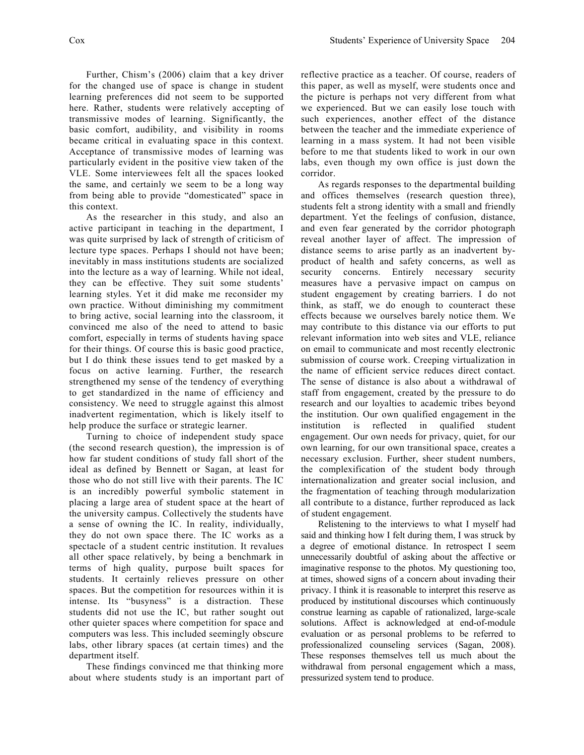Further, Chism's (2006) claim that a key driver for the changed use of space is change in student learning preferences did not seem to be supported here. Rather, students were relatively accepting of transmissive modes of learning. Significantly, the basic comfort, audibility, and visibility in rooms became critical in evaluating space in this context. Acceptance of transmissive modes of learning was particularly evident in the positive view taken of the VLE. Some interviewees felt all the spaces looked the same, and certainly we seem to be a long way from being able to provide "domesticated" space in this context.

As the researcher in this study, and also an active participant in teaching in the department, I was quite surprised by lack of strength of criticism of lecture type spaces. Perhaps I should not have been; inevitably in mass institutions students are socialized into the lecture as a way of learning. While not ideal, they can be effective. They suit some students' learning styles. Yet it did make me reconsider my own practice. Without diminishing my commitment to bring active, social learning into the classroom, it convinced me also of the need to attend to basic comfort, especially in terms of students having space for their things. Of course this is basic good practice, but I do think these issues tend to get masked by a focus on active learning. Further, the research strengthened my sense of the tendency of everything to get standardized in the name of efficiency and consistency. We need to struggle against this almost inadvertent regimentation, which is likely itself to help produce the surface or strategic learner.

Turning to choice of independent study space (the second research question), the impression is of how far student conditions of study fall short of the ideal as defined by Bennett or Sagan, at least for those who do not still live with their parents. The IC is an incredibly powerful symbolic statement in placing a large area of student space at the heart of the university campus. Collectively the students have a sense of owning the IC. In reality, individually, they do not own space there. The IC works as a spectacle of a student centric institution. It revalues all other space relatively, by being a benchmark in terms of high quality, purpose built spaces for students. It certainly relieves pressure on other spaces. But the competition for resources within it is intense. Its "busyness" is a distraction. These students did not use the IC, but rather sought out other quieter spaces where competition for space and computers was less. This included seemingly obscure labs, other library spaces (at certain times) and the department itself.

These findings convinced me that thinking more about where students study is an important part of reflective practice as a teacher. Of course, readers of this paper, as well as myself, were students once and the picture is perhaps not very different from what we experienced. But we can easily lose touch with such experiences, another effect of the distance between the teacher and the immediate experience of learning in a mass system. It had not been visible before to me that students liked to work in our own labs, even though my own office is just down the corridor.

As regards responses to the departmental building and offices themselves (research question three), students felt a strong identity with a small and friendly department. Yet the feelings of confusion, distance, and even fear generated by the corridor photograph reveal another layer of affect. The impression of distance seems to arise partly as an inadvertent byproduct of health and safety concerns, as well as security concerns. Entirely necessary security measures have a pervasive impact on campus on student engagement by creating barriers. I do not think, as staff, we do enough to counteract these effects because we ourselves barely notice them. We may contribute to this distance via our efforts to put relevant information into web sites and VLE, reliance on email to communicate and most recently electronic submission of course work. Creeping virtualization in the name of efficient service reduces direct contact. The sense of distance is also about a withdrawal of staff from engagement, created by the pressure to do research and our loyalties to academic tribes beyond the institution. Our own qualified engagement in the institution is reflected in qualified student engagement. Our own needs for privacy, quiet, for our own learning, for our own transitional space, creates a necessary exclusion. Further, sheer student numbers, the complexification of the student body through internationalization and greater social inclusion, and the fragmentation of teaching through modularization all contribute to a distance, further reproduced as lack of student engagement.

Relistening to the interviews to what I myself had said and thinking how I felt during them, I was struck by a degree of emotional distance. In retrospect I seem unnecessarily doubtful of asking about the affective or imaginative response to the photos. My questioning too, at times, showed signs of a concern about invading their privacy. I think it is reasonable to interpret this reserve as produced by institutional discourses which continuously construe learning as capable of rationalized, large-scale solutions. Affect is acknowledged at end-of-module evaluation or as personal problems to be referred to professionalized counseling services (Sagan, 2008). These responses themselves tell us much about the withdrawal from personal engagement which a mass, pressurized system tend to produce.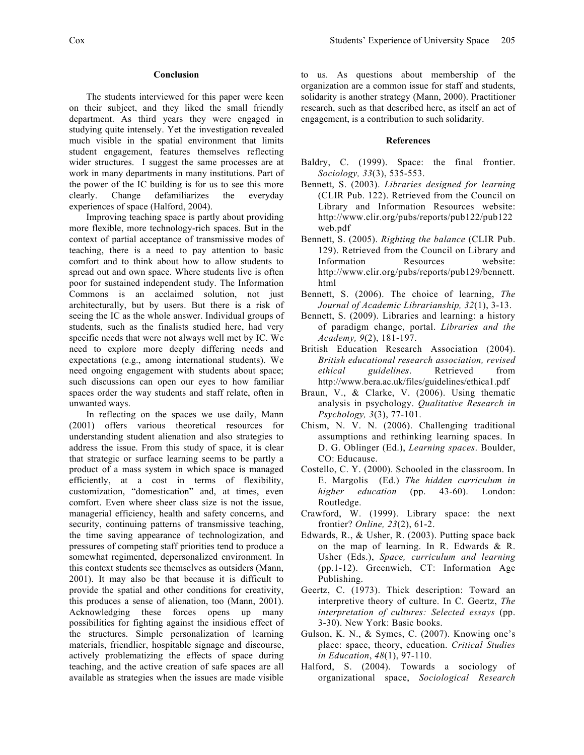#### **Conclusion**

The students interviewed for this paper were keen on their subject, and they liked the small friendly department. As third years they were engaged in studying quite intensely. Yet the investigation revealed much visible in the spatial environment that limits student engagement, features themselves reflecting wider structures. I suggest the same processes are at work in many departments in many institutions. Part of the power of the IC building is for us to see this more clearly. Change defamiliarizes the everyday experiences of space (Halford, 2004).

Improving teaching space is partly about providing more flexible, more technology-rich spaces. But in the context of partial acceptance of transmissive modes of teaching, there is a need to pay attention to basic comfort and to think about how to allow students to spread out and own space. Where students live is often poor for sustained independent study. The Information Commons is an acclaimed solution, not just architecturally, but by users. But there is a risk of seeing the IC as the whole answer. Individual groups of students, such as the finalists studied here, had very specific needs that were not always well met by IC. We need to explore more deeply differing needs and expectations (e.g., among international students). We need ongoing engagement with students about space; such discussions can open our eyes to how familiar spaces order the way students and staff relate, often in unwanted ways.

In reflecting on the spaces we use daily, Mann (2001) offers various theoretical resources for understanding student alienation and also strategies to address the issue. From this study of space, it is clear that strategic or surface learning seems to be partly a product of a mass system in which space is managed efficiently, at a cost in terms of flexibility, customization, "domestication" and, at times, even comfort. Even where sheer class size is not the issue, managerial efficiency, health and safety concerns, and security, continuing patterns of transmissive teaching, the time saving appearance of technologization, and pressures of competing staff priorities tend to produce a somewhat regimented, depersonalized environment. In this context students see themselves as outsiders (Mann, 2001). It may also be that because it is difficult to provide the spatial and other conditions for creativity, this produces a sense of alienation, too (Mann, 2001). Acknowledging these forces opens up many possibilities for fighting against the insidious effect of the structures. Simple personalization of learning materials, friendlier, hospitable signage and discourse, actively problematizing the effects of space during teaching, and the active creation of safe spaces are all available as strategies when the issues are made visible

to us. As questions about membership of the organization are a common issue for staff and students, solidarity is another strategy (Mann, 2000). Practitioner research, such as that described here, as itself an act of engagement, is a contribution to such solidarity.

#### **References**

- Baldry, C. (1999). Space: the final frontier. *Sociology, 33*(3), 535-553.
- Bennett, S. (2003). *Libraries designed for learning*  (CLIR Pub. 122). Retrieved from the Council on Library and Information Resources website: http://www.clir.org/pubs/reports/pub122/pub122 web.pdf
- Bennett, S. (2005). *Righting the balance* (CLIR Pub. 129). Retrieved from the Council on Library and Information Resources website: http://www.clir.org/pubs/reports/pub129/bennett. html
- Bennett, S. (2006). The choice of learning, *The Journal of Academic Librarianship, 32*(1), 3-13.
- Bennett, S. (2009). Libraries and learning: a history of paradigm change, portal. *Libraries and the Academy, 9*(2), 181-197.
- British Education Research Association (2004). *British educational research association, revised ethical guidelines*. Retrieved from http://www.bera.ac.uk/files/guidelines/ethica1.pdf
- Braun, V., & Clarke, V. (2006). Using thematic analysis in psychology. *Qualitative Research in Psychology, 3*(3), 77-101.
- Chism, N. V. N. (2006). Challenging traditional assumptions and rethinking learning spaces. In D. G. Oblinger (Ed.), *Learning spaces*. Boulder, CO: Educause.
- Costello, C. Y. (2000). Schooled in the classroom. In E. Margolis (Ed.) *The hidden curriculum in higher education* (pp. 43-60). London: Routledge.
- Crawford, W. (1999). Library space: the next frontier? *Online, 23*(2), 61-2.
- Edwards, R., & Usher, R. (2003). Putting space back on the map of learning. In R. Edwards & R. Usher (Eds.), *Space, curriculum and learning* (pp.1-12). Greenwich, CT: Information Age Publishing.
- Geertz, C. (1973). Thick description: Toward an interpretive theory of culture. In C. Geertz, *The interpretation of cultures: Selected essays* (pp. 3-30). New York: Basic books.
- Gulson, K. N., & Symes, C. (2007). Knowing one's place: space, theory, education. *Critical Studies in Education*, *48*(1), 97-110.
- Halford, S. (2004). Towards a sociology of organizational space, *Sociological Research*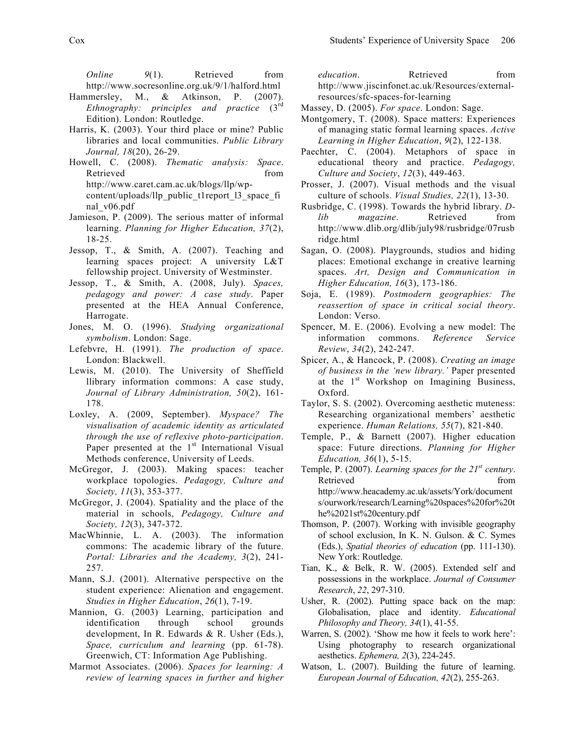*Online* 9(1). Retrieved from http://www.socresonline.org.uk/9/1/halford.html

- Hammersley, M., & Atkinson, P. (2007). *Ethnography: principles and practice* (3rd Edition). London: Routledge.
- Harris, K. (2003). Your third place or mine? Public libraries and local communities. *Public Library Journal, 18*(20), 26-29.
- Howell, C. (2008). *Thematic analysis: Space*. Retrieved from  $\sim$ http://www.caret.cam.ac.uk/blogs/llp/wpcontent/uploads/llp\_public\_t1report\_l3\_space\_fi nal\_v06.pdf
- Jamieson, P. (2009). The serious matter of informal learning. *Planning for Higher Education, 37*(2), 18-25.
- Jessop, T., & Smith, A. (2007). Teaching and learning spaces project: A university L&T fellowship project. University of Westminster.
- Jessop, T., & Smith, A. (2008, July). *Spaces, pedagogy and power: A case study*. Paper presented at the HEA Annual Conference, Harrogate.
- Jones, M. O. (1996). *Studying organizational symbolism*. London: Sage.
- Lefebvre, H. (1991). *The production of space*. London: Blackwell.
- Lewis, M. (2010). The University of Sheffield llibrary information commons: A case study, *Journal of Library Administration, 50*(2), 161- 178.
- Loxley, A. (2009, September). *Myspace? The visualisation of academic identity as articulated through the use of reflexive photo-participation*. Paper presented at the  $1<sup>st</sup>$  International Visual Methods conference, University of Leeds.
- McGregor, J. (2003). Making spaces: teacher workplace topologies. *Pedagogy, Culture and Society, 11*(3), 353-377.
- McGregor, J. (2004). Spatiality and the place of the material in schools, *Pedagogy, Culture and Society, 12*(3), 347-372.
- MacWhinnie, L. A. (2003). The information commons: The academic library of the future. *Portal: Libraries and the Academy, 3*(2), 241- 257.
- Mann, S.J. (2001). Alternative perspective on the student experience: Alienation and engagement. *Studies in Higher Education*, *26*(1), 7-19.
- Mannion, G. (2003) Learning, participation and identification through school grounds development, In R. Edwards & R. Usher (Eds.), *Space, curriculum and learning* (pp. 61-78). Greenwich, CT: Information Age Publishing.
- Marmot Associates. (2006). *Spaces for learning: A review of learning spaces in further and higher*

*education*. Retrieved from http://www.jiscinfonet.ac.uk/Resources/externalresources/sfc-spaces-for-learning

- Massey, D. (2005). *For space*. London: Sage.
- Montgomery, T. (2008). Space matters: Experiences of managing static formal learning spaces. *Active Learning in Higher Education*, *9*(2), 122-138.
- Paechter, C. (2004). Metaphors of space in educational theory and practice. *Pedagogy, Culture and Society*, *12*(3), 449-463.
- Prosser, J. (2007). Visual methods and the visual culture of schools. *Visual Studies, 22*(1), 13-30.
- Rusbridge, C. (1998). Towards the hybrid library. *Dlib magazine*. Retrieved from http://www.dlib.org/dlib/july98/rusbridge/07rusb ridge.html
- Sagan, O. (2008). Playgrounds, studios and hiding places: Emotional exchange in creative learning spaces. *Art, Design and Communication in Higher Education, 16*(3), 173-186.
- Soja, E. (1989). *Postmodern geographies: The reassertion of space in critical social theory*. London: Verso.
- Spencer, M. E. (2006). Evolving a new model: The information commons. *Reference Service Review*, *34*(2), 242-247.
- Spicer, A., & Hancock, P. (2008). *Creating an image of business in the 'new library.'* Paper presented at the  $1<sup>st</sup>$  Workshop on Imagining Business, Oxford.
- Taylor, S. S. (2002). Overcoming aesthetic muteness: Researching organizational members' aesthetic experience. *Human Relations, 55*(7), 821-840.
- Temple, P., & Barnett (2007). Higher education space: Future directions. *Planning for Higher Education, 36*(1), 5-15.
- Temple, P. (2007). *Learning spaces for the 21st century*. Retrieved from the settlement of the settlement of the settlement of the settlement of the settlement of the settlement of the settlement of the settlement of the settlement of the settlement of the settlement of the settl http://www.heacademy.ac.uk/assets/York/document s/ourwork/research/Learning%20spaces%20for%20t he%2021st%20century.pdf
- Thomson, P. (2007). Working with invisible geography of school exclusion, In K. N. Gulson. & C. Symes (Eds.), *Spatial theories of education* (pp. 111-130). New York: Routledge.
- Tian, K., & Belk, R. W. (2005). Extended self and possessions in the workplace. *Journal of Consumer Research*, *22*, 297-310.
- Usher, R. (2002). Putting space back on the map: Globalisation, place and identity. *Educational Philosophy and Theory, 34*(1), 41-55.
- Warren, S. (2002). 'Show me how it feels to work here': Using photography to research organizational aesthetics. *Ephemera, 2*(3), 224-245.
- Watson, L. (2007). Building the future of learning. *European Journal of Education, 42*(2), 255-263.